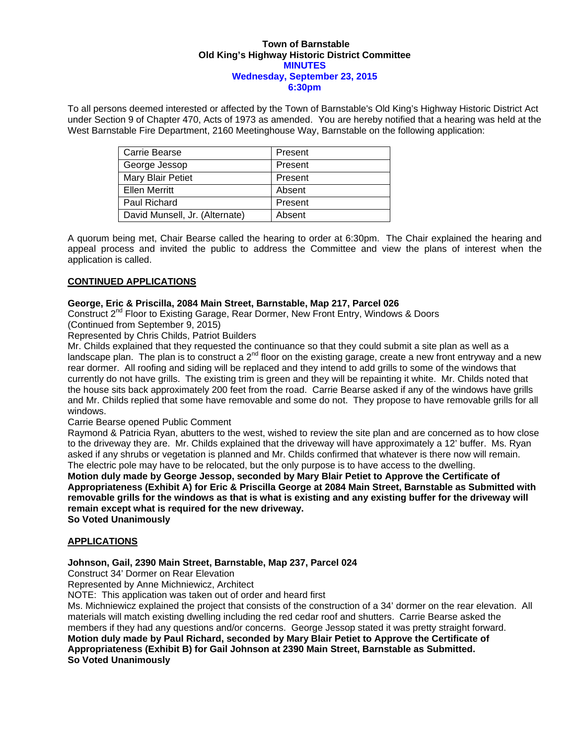#### **Town of Barnstable Old King's Highway Historic District Committee MINUTES Wednesday, September 23, 2015 6:30pm**

To all persons deemed interested or affected by the Town of Barnstable's Old King's Highway Historic District Act under Section 9 of Chapter 470, Acts of 1973 as amended. You are hereby notified that a hearing was held at the West Barnstable Fire Department, 2160 Meetinghouse Way, Barnstable on the following application:

| <b>Carrie Bearse</b>           | Present |
|--------------------------------|---------|
| George Jessop                  | Present |
| Mary Blair Petiet              | Present |
| <b>Ellen Merritt</b>           | Absent  |
| Paul Richard                   | Present |
| David Munsell, Jr. (Alternate) | Absent  |

A quorum being met, Chair Bearse called the hearing to order at 6:30pm. The Chair explained the hearing and appeal process and invited the public to address the Committee and view the plans of interest when the application is called.

# **CONTINUED APPLICATIONS**

## **George, Eric & Priscilla, 2084 Main Street, Barnstable, Map 217, Parcel 026**

Construct 2nd Floor to Existing Garage, Rear Dormer, New Front Entry, Windows & Doors

(Continued from September 9, 2015)

Represented by Chris Childs, Patriot Builders

Mr. Childs explained that they requested the continuance so that they could submit a site plan as well as a landscape plan. The plan is to construct a 2<sup>nd</sup> floor on the existing garage, create a new front entryway and a new rear dormer. All roofing and siding will be replaced and they intend to add grills to some of the windows that currently do not have grills. The existing trim is green and they will be repainting it white. Mr. Childs noted that the house sits back approximately 200 feet from the road. Carrie Bearse asked if any of the windows have grills and Mr. Childs replied that some have removable and some do not. They propose to have removable grills for all windows.

Carrie Bearse opened Public Comment

Raymond & Patricia Ryan, abutters to the west, wished to review the site plan and are concerned as to how close to the driveway they are. Mr. Childs explained that the driveway will have approximately a 12' buffer. Ms. Ryan asked if any shrubs or vegetation is planned and Mr. Childs confirmed that whatever is there now will remain. The electric pole may have to be relocated, but the only purpose is to have access to the dwelling.

**Motion duly made by George Jessop, seconded by Mary Blair Petiet to Approve the Certificate of Appropriateness (Exhibit A) for Eric & Priscilla George at 2084 Main Street, Barnstable as Submitted with removable grills for the windows as that is what is existing and any existing buffer for the driveway will remain except what is required for the new driveway.** 

**So Voted Unanimously** 

### **APPLICATIONS**

### **Johnson, Gail, 2390 Main Street, Barnstable, Map 237, Parcel 024**

Construct 34' Dormer on Rear Elevation

Represented by Anne Michniewicz, Architect

NOTE: This application was taken out of order and heard first

Ms. Michniewicz explained the project that consists of the construction of a 34' dormer on the rear elevation. All materials will match existing dwelling including the red cedar roof and shutters. Carrie Bearse asked the members if they had any questions and/or concerns. George Jessop stated it was pretty straight forward. **Motion duly made by Paul Richard, seconded by Mary Blair Petiet to Approve the Certificate of Appropriateness (Exhibit B) for Gail Johnson at 2390 Main Street, Barnstable as Submitted. So Voted Unanimously**